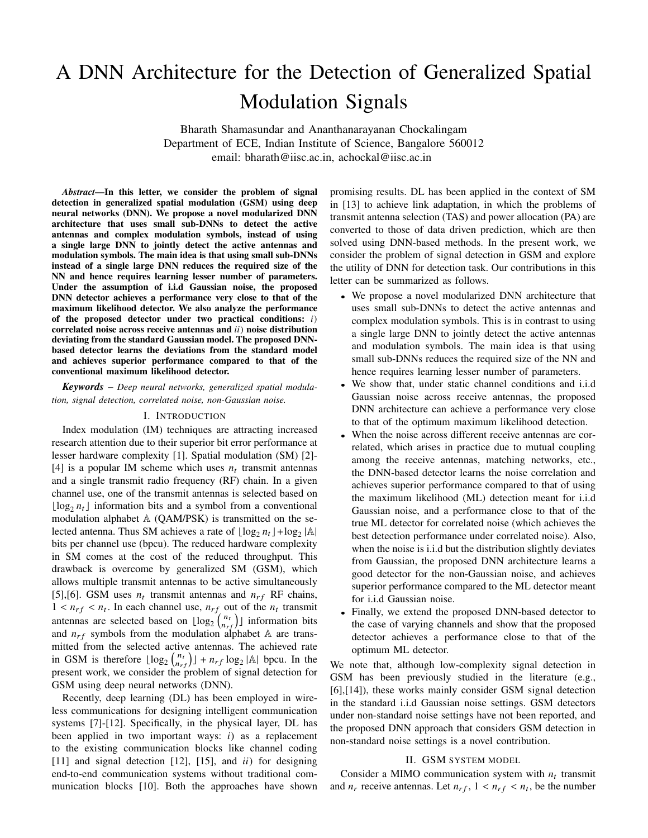# A DNN Architecture for the Detection of Generalized Spatial Modulation Signals

Bharath Shamasundar and Ananthanarayanan Chockalingam Department of ECE, Indian Institute of Science, Bangalore 560012 email: bharath@iisc.ac.in, achockal@iisc.ac.in

*Abstract*—In this letter, we consider the problem of signal detection in generalized spatial modulation (GSM) using deep neural networks (DNN). We propose a novel modularized DNN architecture that uses small sub-DNNs to detect the active antennas and complex modulation symbols, instead of using a single large DNN to jointly detect the active antennas and modulation symbols. The main idea is that using small sub-DNNs instead of a single large DNN reduces the required size of the NN and hence requires learning lesser number of parameters. Under the assumption of i.i.d Gaussian noise, the proposed DNN detector achieves a performance very close to that of the maximum likelihood detector. We also analyze the performance of the proposed detector under two practical conditions: *i*) correlated noise across receive antennas and *ii*) noise distribution deviating from the standard Gaussian model. The proposed DNNbased detector learns the deviations from the standard model and achieves superior performance compared to that of the conventional maximum likelihood detector.

*Keywords* – *Deep neural networks, generalized spatial modulation, signal detection, correlated noise, non-Gaussian noise.*

#### I. INTRODUCTION

Index modulation (IM) techniques are attracting increased research attention due to their superior bit error performance at lesser hardware complexity [1]. Spatial modulation (SM) [2]- [4] is a popular IM scheme which uses  $n_t$  transmit antennas and a single transmit radio frequency (RF) chain. In a given channel use, one of the transmit antennas is selected based on  $\lfloor \log_2 n_t \rfloor$  information bits and a symbol from a conventional modulation alphabet  $A$  (QAM/PSK) is transmitted on the selected antenna. Thus SM achieves a rate of  $\lfloor \log_2 n_t \rfloor + \log_2 |\mathbb{A}|$ bits per channel use (bpcu). The reduced hardware complexity in SM comes at the cost of the reduced throughput. This drawback is overcome by generalized SM (GSM), which allows multiple transmit antennas to be active simultaneously [5],[6]. GSM uses  $n_t$  transmit antennas and  $n_{rf}$  RF chains,  $1 < n_{rf} < n_t$ . In each channel use,  $n_{rf}$  out of the  $n_t$  transmit antennas are selected based on  $\lfloor \log_2 {n_t \choose n_{rf}} \rfloor$  information bits and  $n_{rf}$  symbols from the modulation alphabet  $\mathbb A$  are transmitted from the selected active antennas. The achieved rate in GSM is therefore  $\lfloor \log_2 {n_t \choose n_{rf}} \rfloor + n_{rf} \log_2 |\mathbb{A}|$  bpcu. In the present work, we consider the problem of signal detection for GSM using deep neural networks (DNN).

Recently, deep learning (DL) has been employed in wireless communications for designing intelligent communication systems [7]-[12]. Specifically, in the physical layer, DL has been applied in two important ways: *i*) as a replacement to the existing communication blocks like channel coding [11] and signal detection [12], [15], and *ii*) for designing end-to-end communication systems without traditional communication blocks [10]. Both the approaches have shown promising results. DL has been applied in the context of SM in [13] to achieve link adaptation, in which the problems of transmit antenna selection (TAS) and power allocation (PA) are converted to those of data driven prediction, which are then solved using DNN-based methods. In the present work, we consider the problem of signal detection in GSM and explore the utility of DNN for detection task. Our contributions in this letter can be summarized as follows.

- We propose a novel modularized DNN architecture that uses small sub-DNNs to detect the active antennas and complex modulation symbols. This is in contrast to using a single large DNN to jointly detect the active antennas and modulation symbols. The main idea is that using small sub-DNNs reduces the required size of the NN and hence requires learning lesser number of parameters.
- We show that, under static channel conditions and i.i.d Gaussian noise across receive antennas, the proposed DNN architecture can achieve a performance very close to that of the optimum maximum likelihood detection.
- When the noise across different receive antennas are correlated, which arises in practice due to mutual coupling among the receive antennas, matching networks, etc., the DNN-based detector learns the noise correlation and achieves superior performance compared to that of using the maximum likelihood (ML) detection meant for i.i.d Gaussian noise, and a performance close to that of the true ML detector for correlated noise (which achieves the best detection performance under correlated noise). Also, when the noise is i.i.d but the distribution slightly deviates from Gaussian, the proposed DNN architecture learns a good detector for the non-Gaussian noise, and achieves superior performance compared to the ML detector meant for i.i.d Gaussian noise.
- Finally, we extend the proposed DNN-based detector to the case of varying channels and show that the proposed detector achieves a performance close to that of the optimum ML detector.

We note that, although low-complexity signal detection in GSM has been previously studied in the literature (e.g., [6],[14]), these works mainly consider GSM signal detection in the standard i.i.d Gaussian noise settings. GSM detectors under non-standard noise settings have not been reported, and the proposed DNN approach that considers GSM detection in non-standard noise settings is a novel contribution.

### II. GSM SYSTEM MODEL

Consider a MIMO communication system with  $n_t$  transmit and  $n_r$  receive antennas. Let  $n_{rf}$ ,  $1 < n_{rf} < n_t$ , be the number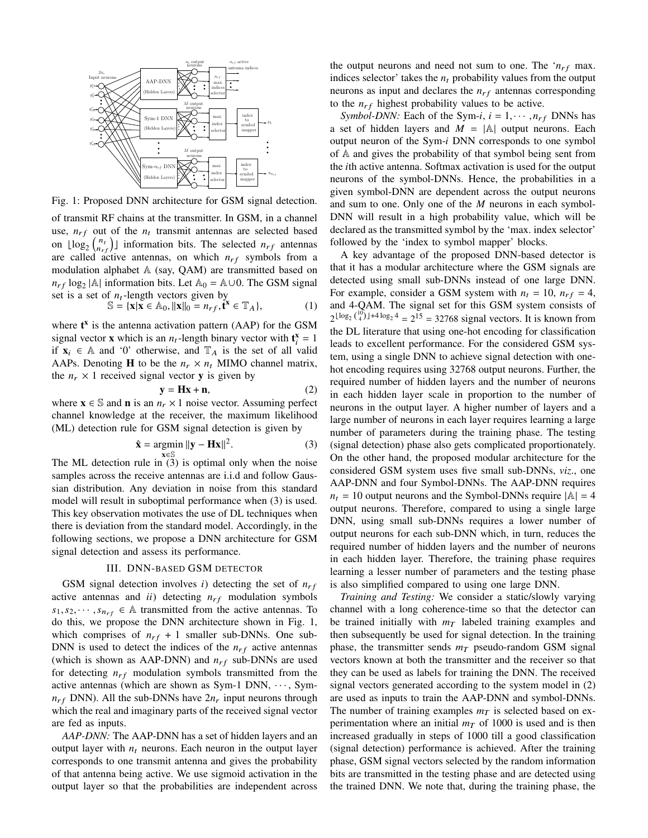

Fig. 1: Proposed DNN architecture for GSM signal detection.

of transmit RF chains at the transmitter. In GSM, in a channel use,  $n_{rf}$  out of the  $n_t$  transmit antennas are selected based on  $\lfloor \log_2 \binom{n_t}{n_{rf}} \rfloor$  information bits. The selected  $n_{rf}$  antennas are called active antennas, on which  $n_{rf}$  symbols from a modulation alphabet A (say, QAM) are transmitted based on  $n_{rf} \log_2 |\mathbb{A}|$  information bits. Let  $\mathbb{A}_0 = \mathbb{A} \cup 0$ . The GSM signal set is a set of  $n_t$ -length vectors given by<br>  $\mathbb{S} = {\mathbf{x}} | {\mathbf{x}} \in \mathbb{A}_0, ||{\mathbf{x}}||_0 = n_{rf}$ , **t**<sup>x</sup>

$$
\mathbf{S} = \{ \mathbf{x} | \mathbf{x} \in \mathbb{A}_0, ||\mathbf{x}||_0 = n_{rf}, \mathbf{t}^{\mathbf{x}} \in \mathbb{T}_A \},\tag{1}
$$

where  $t^x$  is the antenna activation pattern (AAP) for the GSM signal vector **x** which is an  $n_t$ -length binary vector with  $\mathbf{t}_i^{\mathbf{x}} = 1$ if  $x_i \in A$  and '0' otherwise, and  $T_A$  is the set of all valid AAPs. Denoting **H** to be the  $n_r \times n_t$  MIMO channel matrix, the  $n_r \times 1$  received signal vector **y** is given by

$$
y = Hx + n,\t(2)
$$

where  $\mathbf{x} \in \mathbb{S}$  and **n** is an  $n_r \times 1$  noise vector. Assuming perfect channel knowledge at the receiver, the maximum likelihood (ML) detection rule for GSM signal detection is given by

$$
\hat{\mathbf{x}} = \underset{\mathbf{x} \in \mathbb{S}}{\operatorname{argmin}} \|\mathbf{y} - \mathbf{H}\mathbf{x}\|^2. \tag{3}
$$

The ML detection rule in (3) is optimal only when the noise samples across the receive antennas are i.i.d and follow Gaussian distribution. Any deviation in noise from this standard model will result in suboptimal performance when (3) is used. This key observation motivates the use of DL techniques when there is deviation from the standard model. Accordingly, in the following sections, we propose a DNN architecture for GSM signal detection and assess its performance.

## III. DNN-BASED GSM DETECTOR

GSM signal detection involves  $i$ ) detecting the set of  $n_{rf}$ active antennas and  $ii)$  detecting  $n_{rf}$  modulation symbols  $s_1, s_2, \dots, s_{n_{rf}} \in A$  transmitted from the active antennas. To do this, we propose the DNN architecture shown in Fig. 1, which comprises of  $n_{rf} + 1$  smaller sub-DNNs. One sub-DNN is used to detect the indices of the  $n_{rf}$  active antennas (which is shown as AAP-DNN) and  $n_{rf}$  sub-DNNs are used for detecting  $n_{rf}$  modulation symbols transmitted from the active antennas (which are shown as Sym-1 DNN,  $\cdots$ , Sym $n_{rf}$  DNN). All the sub-DNNs have  $2n_r$  input neurons through which the real and imaginary parts of the received signal vector are fed as inputs.

*AAP-DNN:* The AAP-DNN has a set of hidden layers and an output layer with  $n_t$  neurons. Each neuron in the output layer corresponds to one transmit antenna and gives the probability of that antenna being active. We use sigmoid activation in the output layer so that the probabilities are independent across the output neurons and need not sum to one. The  $n_{rf}$  max. indices selector' takes the  $n_t$  probability values from the output neurons as input and declares the  $n_{rf}$  antennas corresponding to the  $n_{rf}$  highest probability values to be active.

*Symbol-DNN:* Each of the Sym-*i*,  $i = 1, \dots, n_{rf}$  DNNs has a set of hidden layers and  $M = |A|$  output neurons. Each output neuron of the Sym-*i* DNN corresponds to one symbol of A and gives the probability of that symbol being sent from the *i*th active antenna. Softmax activation is used for the output neurons of the symbol-DNNs. Hence, the probabilities in a given symbol-DNN are dependent across the output neurons and sum to one. Only one of the *M* neurons in each symbol-DNN will result in a high probability value, which will be declared as the transmitted symbol by the 'max. index selector' followed by the 'index to symbol mapper' blocks.

A key advantage of the proposed DNN-based detector is that it has a modular architecture where the GSM signals are detected using small sub-DNNs instead of one large DNN. For example, consider a GSM system with  $n_t = 10$ ,  $n_{rf} = 4$ , and 4-QAM. The signal set for this GSM system consists of  $2^{\lfloor \log_2 \binom{10}{4} \rfloor + 4 \log_2 4} = 2^{15} = 32768$  signal vectors. It is known from the DL literature that using one-hot encoding for classification leads to excellent performance. For the considered GSM system, using a single DNN to achieve signal detection with onehot encoding requires using 32768 output neurons. Further, the required number of hidden layers and the number of neurons in each hidden layer scale in proportion to the number of neurons in the output layer. A higher number of layers and a large number of neurons in each layer requires learning a large number of parameters during the training phase. The testing (signal detection) phase also gets complicated proportionately. On the other hand, the proposed modular architecture for the considered GSM system uses five small sub-DNNs, *viz*., one AAP-DNN and four Symbol-DNNs. The AAP-DNN requires  $n_t = 10$  output neurons and the Symbol-DNNs require  $|A| = 4$ output neurons. Therefore, compared to using a single large DNN, using small sub-DNNs requires a lower number of output neurons for each sub-DNN which, in turn, reduces the required number of hidden layers and the number of neurons in each hidden layer. Therefore, the training phase requires learning a lesser number of parameters and the testing phase is also simplified compared to using one large DNN.

*Training and Testing:* We consider a static/slowly varying channel with a long coherence-time so that the detector can be trained initially with  $m<sub>T</sub>$  labeled training examples and then subsequently be used for signal detection. In the training phase, the transmitter sends  $m<sub>T</sub>$  pseudo-random GSM signal vectors known at both the transmitter and the receiver so that they can be used as labels for training the DNN. The received signal vectors generated according to the system model in (2) are used as inputs to train the AAP-DNN and symbol-DNNs. The number of training examples  $m<sub>T</sub>$  is selected based on experimentation where an initial  $m<sub>T</sub>$  of 1000 is used and is then increased gradually in steps of 1000 till a good classification (signal detection) performance is achieved. After the training phase, GSM signal vectors selected by the random information bits are transmitted in the testing phase and are detected using the trained DNN. We note that, during the training phase, the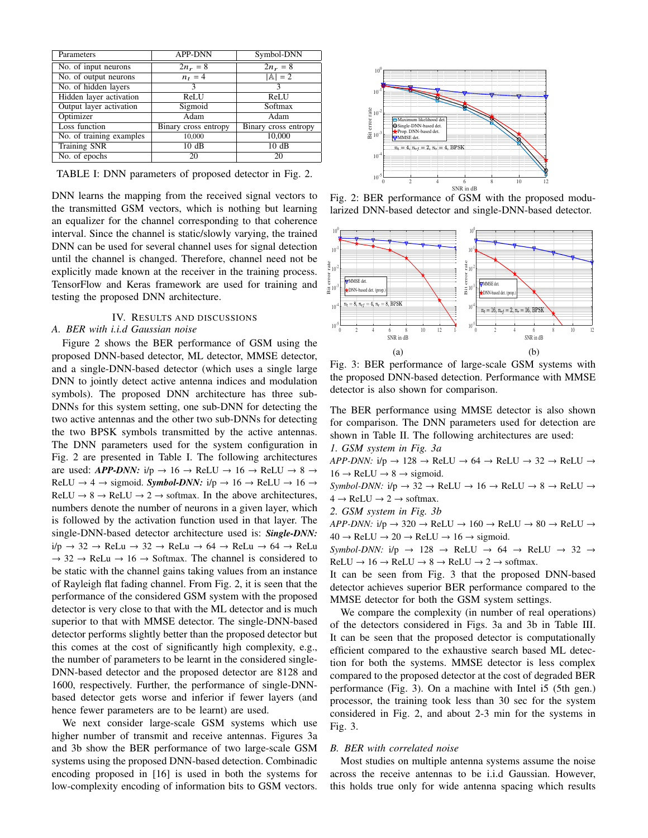| Parameters               | <b>APP-DNN</b>       | Symbol-DNN           |
|--------------------------|----------------------|----------------------|
| No. of input neurons     | $2n_r = 8$           | $2n_r = 8$           |
| No. of output neurons    | $n_t = 4$            | $ A  = 2$            |
| No. of hidden layers     | 3                    | ٩                    |
| Hidden layer activation  | <b>ReLU</b>          | ReLU                 |
| Output layer activation  | Sigmoid              | Softmax              |
| Optimizer                | Adam                 | Adam                 |
| Loss function            | Binary cross entropy | Binary cross entropy |
| No. of training examples | 10,000               | 10,000               |
| <b>Training SNR</b>      | 10dB                 | 10dB                 |
| No. of epochs            | 20                   | 20                   |

TABLE I: DNN parameters of proposed detector in Fig. 2.

DNN learns the mapping from the received signal vectors to the transmitted GSM vectors, which is nothing but learning an equalizer for the channel corresponding to that coherence interval. Since the channel is static/slowly varying, the trained DNN can be used for several channel uses for signal detection until the channel is changed. Therefore, channel need not be explicitly made known at the receiver in the training process. TensorFlow and Keras framework are used for training and testing the proposed DNN architecture.

## IV. RESULTS AND DISCUSSIONS *A. BER with i.i.d Gaussian noise*

Figure 2 shows the BER performance of GSM using the proposed DNN-based detector, ML detector, MMSE detector, and a single-DNN-based detector (which uses a single large DNN to jointly detect active antenna indices and modulation symbols). The proposed DNN architecture has three sub-DNNs for this system setting, one sub-DNN for detecting the two active antennas and the other two sub-DNNs for detecting the two BPSK symbols transmitted by the active antennas. The DNN parameters used for the system configuration in Fig. 2 are presented in Table I. The following architectures are used: *APP-DNN*:  $i/p \rightarrow 16 \rightarrow \text{ReLU} \rightarrow 16 \rightarrow \text{ReLU} \rightarrow 8 \rightarrow$ ReLU  $\rightarrow$  4  $\rightarrow$  sigmoid. *Symbol-DNN*: i/p  $\rightarrow$  16  $\rightarrow$  ReLU  $\rightarrow$  16  $\rightarrow$  $ReLU \rightarrow 8 \rightarrow ReLU \rightarrow 2 \rightarrow softmax$ . In the above architectures, numbers denote the number of neurons in a given layer, which is followed by the activation function used in that layer. The single-DNN-based detector architecture used is: *Single-DNN:* i/p → 32 → ReLu → 32 → ReLu → 64 → ReLu → 64 → ReLu  $\rightarrow$  32  $\rightarrow$  ReLu  $\rightarrow$  16  $\rightarrow$  Softmax. The channel is considered to be static with the channel gains taking values from an instance of Rayleigh flat fading channel. From Fig. 2, it is seen that the performance of the considered GSM system with the proposed detector is very close to that with the ML detector and is much superior to that with MMSE detector. The single-DNN-based detector performs slightly better than the proposed detector but this comes at the cost of significantly high complexity, e.g., the number of parameters to be learnt in the considered single-DNN-based detector and the proposed detector are 8128 and 1600, respectively. Further, the performance of single-DNNbased detector gets worse and inferior if fewer layers (and hence fewer parameters are to be learnt) are used.

We next consider large-scale GSM systems which use higher number of transmit and receive antennas. Figures 3a and 3b show the BER performance of two large-scale GSM systems using the proposed DNN-based detection. Combinadic encoding proposed in [16] is used in both the systems for low-complexity encoding of information bits to GSM vectors.



Fig. 2: BER performance of GSM with the proposed modularized DNN-based detector and single-DNN-based detector.



Fig. 3: BER performance of large-scale GSM systems with the proposed DNN-based detection. Performance with MMSE detector is also shown for comparison.

The BER performance using MMSE detector is also shown for comparison. The DNN parameters used for detection are shown in Table II. The following architectures are used:

*1. GSM system in Fig. 3a*

 $APP\text{-}DNN: i/p \rightarrow 128 \rightarrow ReLU \rightarrow 64 \rightarrow ReLU \rightarrow 32 \rightarrow ReLU \rightarrow$  $16 \rightarrow \text{ReLU} \rightarrow 8 \rightarrow$  sigmoid.

*Symbol-DNN:*  $i/p \rightarrow 32 \rightarrow ReLU \rightarrow 16 \rightarrow ReLU \rightarrow 8 \rightarrow ReLU \rightarrow$  $4 \rightarrow$  ReLU  $\rightarrow$  2  $\rightarrow$  softmax.

*2. GSM system in Fig. 3b*

 $APP\text{-}DNN: i/p \rightarrow 320 \rightarrow ReLU \rightarrow 160 \rightarrow ReLU \rightarrow 80 \rightarrow ReLU \rightarrow$  $40 \rightarrow \text{ReLU} \rightarrow 20 \rightarrow \text{ReLU} \rightarrow 16 \rightarrow$  sigmoid.

 $Symbol\text{-}DNN: i/p \rightarrow 128 \rightarrow ReLU \rightarrow 64 \rightarrow ReLU \rightarrow 32 \rightarrow$  $ReLU \rightarrow 16 \rightarrow ReLU \rightarrow 8 \rightarrow ReLU \rightarrow 2 \rightarrow softmax.$ 

It can be seen from Fig. 3 that the proposed DNN-based detector achieves superior BER performance compared to the MMSE detector for both the GSM system settings.

We compare the complexity (in number of real operations) of the detectors considered in Figs. 3a and 3b in Table III. It can be seen that the proposed detector is computationally efficient compared to the exhaustive search based ML detection for both the systems. MMSE detector is less complex compared to the proposed detector at the cost of degraded BER performance (Fig. 3). On a machine with Intel i5 (5th gen.) processor, the training took less than 30 sec for the system considered in Fig. 2, and about 2-3 min for the systems in Fig. 3.

#### *B. BER with correlated noise*

Most studies on multiple antenna systems assume the noise across the receive antennas to be i.i.d Gaussian. However, this holds true only for wide antenna spacing which results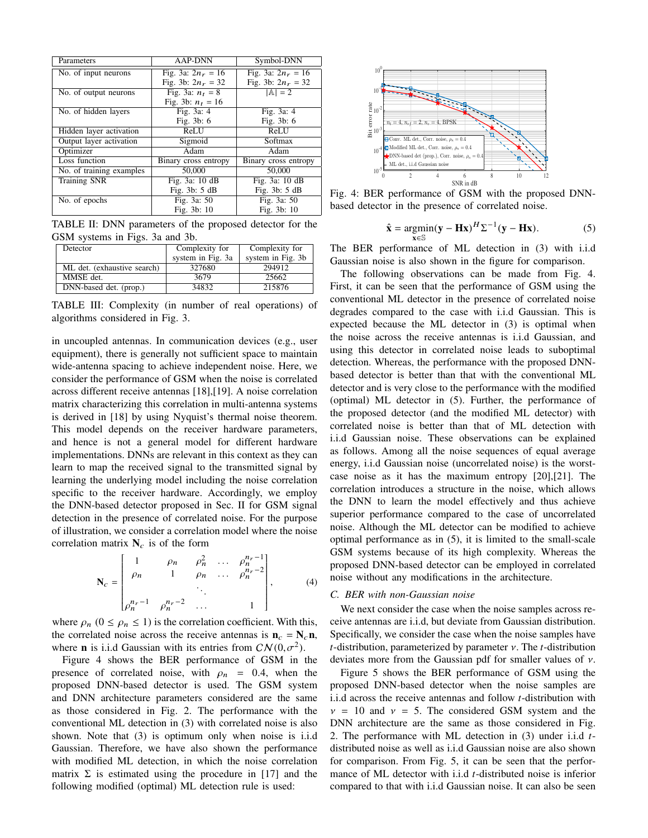| Parameters               | <b>AAP-DNN</b>       | Symbol-DNN           |
|--------------------------|----------------------|----------------------|
| No. of input neurons     | Fig. 3a: $2n_r = 16$ | Fig. 3a: $2n_r = 16$ |
|                          | Fig. 3b: $2n_r = 32$ | Fig. 3b: $2n_r = 32$ |
| No. of output neurons    | Fig. 3a: $n_t = 8$   | $ A  = 2$            |
|                          | Fig. 3b: $n_t = 16$  |                      |
| No. of hidden layers     | Fig. 3a: 4           | Fig. 3a: 4           |
|                          | Fig. 3b: 6           | Fig. 3b: 6           |
| Hidden layer activation  | <b>ReLU</b>          | <b>ReLU</b>          |
| Output layer activation  | Sigmoid              | Softmax              |
| Optimizer                | Adam                 | Adam                 |
| Loss function            | Binary cross entropy | Binary cross entropy |
| No. of training examples | 50,000               | 50,000               |
| <b>Training SNR</b>      | Fig. 3a: 10 dB       | Fig. 3a: 10 dB       |
|                          | Fig. $3b: 5dB$       | Fig. 3b: 5 dB        |
| No. of epochs            | Fig. 3a: 50          | Fig. 3a: 50          |
|                          | Fig. 3b: 10          | Fig. 3b: 10          |

TABLE II: DNN parameters of the proposed detector for the GSM systems in Figs. 3a and 3b.

| Detector                    | Complexity for    | Complexity for    |
|-----------------------------|-------------------|-------------------|
|                             | system in Fig. 3a | system in Fig. 3b |
| ML det. (exhaustive search) | 327680            | 294912            |
| MMSE det.                   | 3679              | 25662             |
| DNN-based det. (prop.)      | 34832             | 215876            |

TABLE III: Complexity (in number of real operations) of algorithms considered in Fig. 3.

in uncoupled antennas. In communication devices (e.g., user equipment), there is generally not sufficient space to maintain wide-antenna spacing to achieve independent noise. Here, we consider the performance of GSM when the noise is correlated across different receive antennas [18],[19]. A noise correlation matrix characterizing this correlation in multi-antenna systems is derived in [18] by using Nyquist's thermal noise theorem. This model depends on the receiver hardware parameters, and hence is not a general model for different hardware implementations. DNNs are relevant in this context as they can learn to map the received signal to the transmitted signal by learning the underlying model including the noise correlation specific to the receiver hardware. Accordingly, we employ the DNN-based detector proposed in Sec. II for GSM signal detection in the presence of correlated noise. For the purpose of illustration, we consider a correlation model where the noise correlation matrix  $N_c$  is of the form

$$
\mathbf{N}_c = \begin{bmatrix} 1 & \rho_n & \rho_n^2 & \dots & \rho_n^{n_r - 1} \\ \rho_n & 1 & \rho_n & \dots & \rho_n^{n_r - 2} \\ \vdots & \vdots & \ddots & \vdots \\ \rho_n^{n_r - 1} & \rho_n^{n_r - 2} & \dots & 1 \end{bmatrix},
$$
 (4)

where  $\rho_n$  ( $0 \le \rho_n \le 1$ ) is the correlation coefficient. With this, the correlated noise across the receive antennas is  $n_c = N_c n$ , where **n** is i.i.d Gaussian with its entries from  $CN(0, \sigma^2)$ .

Figure 4 shows the BER performance of GSM in the presence of correlated noise, with  $\rho_n = 0.4$ , when the proposed DNN-based detector is used. The GSM system and DNN architecture parameters considered are the same as those considered in Fig. 2. The performance with the conventional ML detection in (3) with correlated noise is also shown. Note that (3) is optimum only when noise is i.i.d Gaussian. Therefore, we have also shown the performance with modified ML detection, in which the noise correlation matrix  $\Sigma$  is estimated using the procedure in [17] and the following modified (optimal) ML detection rule is used:



Fig. 4: BER performance of GSM with the proposed DNNbased detector in the presence of correlated noise.

$$
\hat{\mathbf{x}} = \underset{\mathbf{x} \in \mathbb{S}}{\operatorname{argmin}} (\mathbf{y} - \mathbf{H}\mathbf{x})^H \Sigma^{-1} (\mathbf{y} - \mathbf{H}\mathbf{x}).
$$
 (5)

The BER performance of ML detection in (3) with i.i.d Gaussian noise is also shown in the figure for comparison.

The following observations can be made from Fig. 4. First, it can be seen that the performance of GSM using the conventional ML detector in the presence of correlated noise degrades compared to the case with i.i.d Gaussian. This is expected because the ML detector in (3) is optimal when the noise across the receive antennas is i.i.d Gaussian, and using this detector in correlated noise leads to suboptimal detection. Whereas, the performance with the proposed DNNbased detector is better than that with the conventional ML detector and is very close to the performance with the modified (optimal) ML detector in (5). Further, the performance of the proposed detector (and the modified ML detector) with correlated noise is better than that of ML detection with i.i.d Gaussian noise. These observations can be explained as follows. Among all the noise sequences of equal average energy, i.i.d Gaussian noise (uncorrelated noise) is the worstcase noise as it has the maximum entropy [20],[21]. The correlation introduces a structure in the noise, which allows the DNN to learn the model effectively and thus achieve superior performance compared to the case of uncorrelated noise. Although the ML detector can be modified to achieve optimal performance as in (5), it is limited to the small-scale GSM systems because of its high complexity. Whereas the proposed DNN-based detector can be employed in correlated noise without any modifications in the architecture.

## *C. BER with non-Gaussian noise*

We next consider the case when the noise samples across receive antennas are i.i.d, but deviate from Gaussian distribution. Specifically, we consider the case when the noise samples have *t*-distribution, parameterized by parameter ν. The *t*-distribution deviates more from the Gaussian pdf for smaller values of ν.

Figure 5 shows the BER performance of GSM using the proposed DNN-based detector when the noise samples are i.i.d across the receive antennas and follow *t*-distribution with  $v = 10$  and  $v = 5$ . The considered GSM system and the DNN architecture are the same as those considered in Fig. 2. The performance with ML detection in (3) under i.i.d *t*distributed noise as well as i.i.d Gaussian noise are also shown for comparison. From Fig. 5, it can be seen that the performance of ML detector with i.i.d *t*-distributed noise is inferior compared to that with i.i.d Gaussian noise. It can also be seen